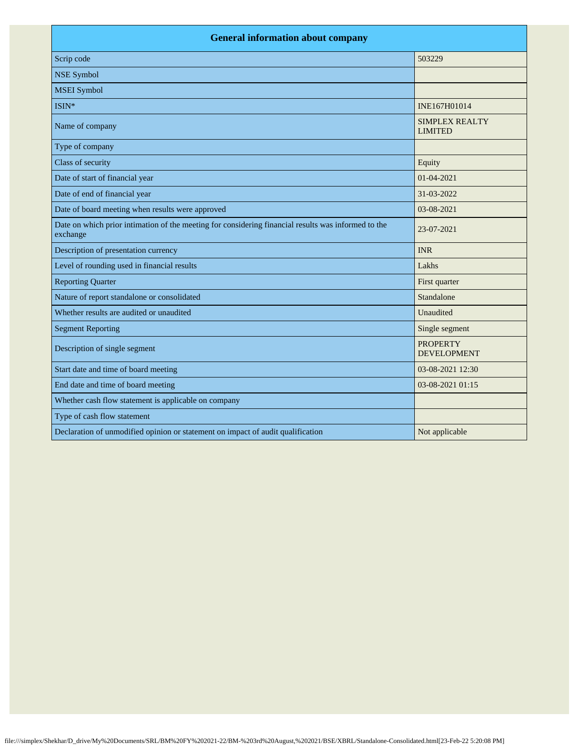| <b>General information about company</b>                                                                        |                                         |  |
|-----------------------------------------------------------------------------------------------------------------|-----------------------------------------|--|
| Scrip code                                                                                                      | 503229                                  |  |
| <b>NSE Symbol</b>                                                                                               |                                         |  |
| <b>MSEI</b> Symbol                                                                                              |                                         |  |
| ISIN*                                                                                                           | INE167H01014                            |  |
| Name of company                                                                                                 | <b>SIMPLEX REALTY</b><br><b>LIMITED</b> |  |
| Type of company                                                                                                 |                                         |  |
| Class of security                                                                                               | Equity                                  |  |
| Date of start of financial year                                                                                 | 01-04-2021                              |  |
| Date of end of financial year                                                                                   | 31-03-2022                              |  |
| Date of board meeting when results were approved                                                                | 03-08-2021                              |  |
| Date on which prior intimation of the meeting for considering financial results was informed to the<br>exchange | 23-07-2021                              |  |
| Description of presentation currency                                                                            | <b>INR</b>                              |  |
| Level of rounding used in financial results                                                                     | Lakhs                                   |  |
| <b>Reporting Quarter</b>                                                                                        | First quarter                           |  |
| Nature of report standalone or consolidated                                                                     | Standalone                              |  |
| Whether results are audited or unaudited                                                                        | Unaudited                               |  |
| <b>Segment Reporting</b>                                                                                        | Single segment                          |  |
| Description of single segment                                                                                   | <b>PROPERTY</b><br><b>DEVELOPMENT</b>   |  |
| Start date and time of board meeting                                                                            | 03-08-2021 12:30                        |  |
| End date and time of board meeting                                                                              | 03-08-2021 01:15                        |  |
| Whether cash flow statement is applicable on company                                                            |                                         |  |
| Type of cash flow statement                                                                                     |                                         |  |
| Declaration of unmodified opinion or statement on impact of audit qualification                                 | Not applicable                          |  |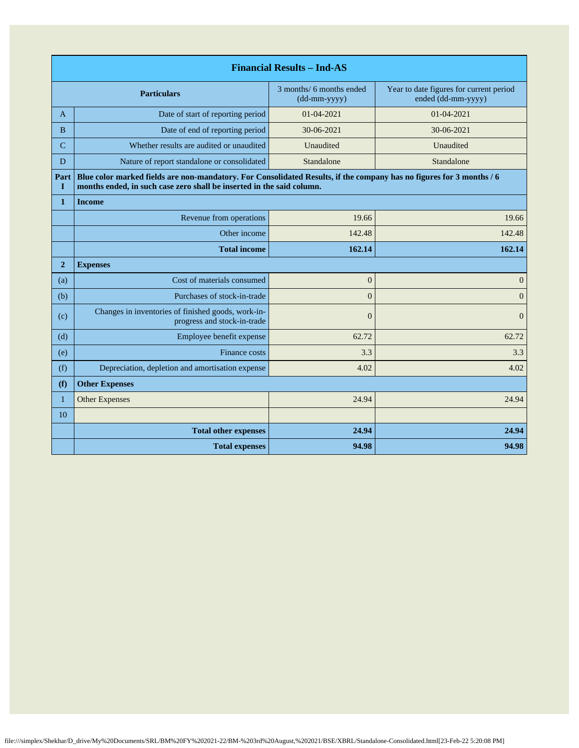| <b>Financial Results - Ind-AS</b> |                                                                                                                                                                                               |                                                              |                                                               |
|-----------------------------------|-----------------------------------------------------------------------------------------------------------------------------------------------------------------------------------------------|--------------------------------------------------------------|---------------------------------------------------------------|
| <b>Particulars</b>                |                                                                                                                                                                                               | 3 months/ 6 months ended<br>$(dd{\text{-}\!\text{mm-}}yyyy)$ | Year to date figures for current period<br>ended (dd-mm-yyyy) |
| A                                 | Date of start of reporting period                                                                                                                                                             | $01 - 04 - 2021$                                             | 01-04-2021                                                    |
| <sub>B</sub>                      | Date of end of reporting period                                                                                                                                                               | 30-06-2021                                                   | 30-06-2021                                                    |
| C                                 | Whether results are audited or unaudited                                                                                                                                                      | Unaudited                                                    | Unaudited                                                     |
| D                                 | Nature of report standalone or consolidated                                                                                                                                                   | Standalone                                                   | Standalone                                                    |
| Part<br>L                         | Blue color marked fields are non-mandatory. For Consolidated Results, if the company has no figures for 3 months / 6<br>months ended, in such case zero shall be inserted in the said column. |                                                              |                                                               |
| $\mathbf{1}$                      | <b>Income</b>                                                                                                                                                                                 |                                                              |                                                               |
|                                   | Revenue from operations                                                                                                                                                                       | 19.66                                                        | 19.66                                                         |
|                                   | Other income                                                                                                                                                                                  | 142.48                                                       | 142.48                                                        |
|                                   | <b>Total income</b>                                                                                                                                                                           | 162.14                                                       | 162.14                                                        |
| $\overline{2}$                    | <b>Expenses</b>                                                                                                                                                                               |                                                              |                                                               |
| (a)                               | Cost of materials consumed                                                                                                                                                                    | $\mathbf{0}$                                                 | $\mathbf{0}$                                                  |
| (b)                               | Purchases of stock-in-trade                                                                                                                                                                   | $\overline{0}$                                               | $\overline{0}$                                                |
| (c)                               | Changes in inventories of finished goods, work-in-<br>progress and stock-in-trade                                                                                                             | $\theta$                                                     | $\Omega$                                                      |
| (d)                               | Employee benefit expense                                                                                                                                                                      | 62.72                                                        | 62.72                                                         |
| (e)                               | Finance costs                                                                                                                                                                                 | 3.3                                                          | 3.3                                                           |
| (f)                               | Depreciation, depletion and amortisation expense                                                                                                                                              | 4.02                                                         | 4.02                                                          |
| (f)                               | <b>Other Expenses</b>                                                                                                                                                                         |                                                              |                                                               |
| $\mathbf{1}$                      | <b>Other Expenses</b>                                                                                                                                                                         | 24.94                                                        | 24.94                                                         |
| 10                                |                                                                                                                                                                                               |                                                              |                                                               |
|                                   | <b>Total other expenses</b>                                                                                                                                                                   | 24.94                                                        | 24.94                                                         |
|                                   | <b>Total expenses</b>                                                                                                                                                                         | 94.98                                                        | 94.98                                                         |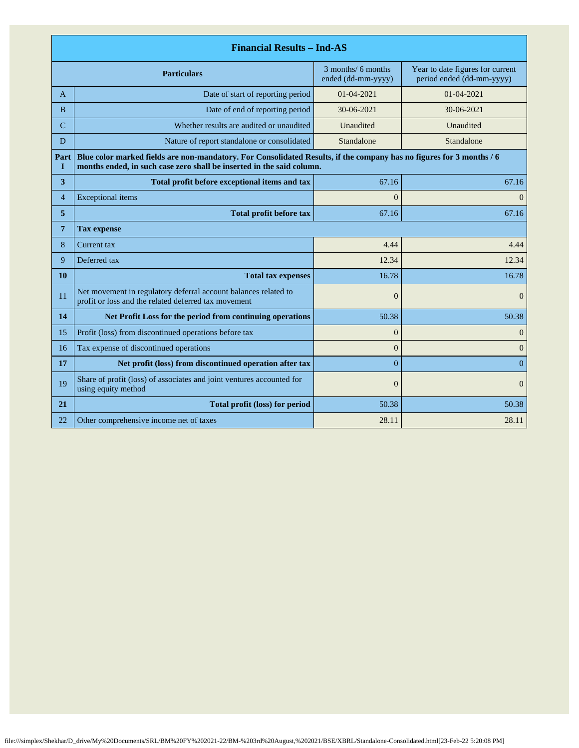| <b>Financial Results - Ind-AS</b> |                                                                                                                                                                                               |                                                                                                           |                |  |
|-----------------------------------|-----------------------------------------------------------------------------------------------------------------------------------------------------------------------------------------------|-----------------------------------------------------------------------------------------------------------|----------------|--|
|                                   | <b>Particulars</b>                                                                                                                                                                            | 3 months/ 6 months<br>Year to date figures for current<br>ended (dd-mm-yyyy)<br>period ended (dd-mm-yyyy) |                |  |
| A                                 | Date of start of reporting period<br>$01 - 04 - 2021$                                                                                                                                         |                                                                                                           | 01-04-2021     |  |
| <sub>B</sub>                      | Date of end of reporting period                                                                                                                                                               | 30-06-2021                                                                                                | 30-06-2021     |  |
| C                                 | Whether results are audited or unaudited                                                                                                                                                      | Unaudited                                                                                                 | Unaudited      |  |
| D                                 | Nature of report standalone or consolidated                                                                                                                                                   | Standalone                                                                                                | Standalone     |  |
| Part<br>п                         | Blue color marked fields are non-mandatory. For Consolidated Results, if the company has no figures for 3 months / 6<br>months ended, in such case zero shall be inserted in the said column. |                                                                                                           |                |  |
| 3                                 | Total profit before exceptional items and tax                                                                                                                                                 | 67.16                                                                                                     | 67.16          |  |
| $\overline{4}$                    | <b>Exceptional</b> items                                                                                                                                                                      | $\theta$                                                                                                  | $\Omega$       |  |
| 5                                 | Total profit before tax                                                                                                                                                                       | 67.16<br>67.16                                                                                            |                |  |
| 7                                 | <b>Tax expense</b>                                                                                                                                                                            |                                                                                                           |                |  |
| 8                                 | Current tax                                                                                                                                                                                   | 4.44                                                                                                      | 4.44           |  |
| 9                                 | Deferred tax                                                                                                                                                                                  | 12.34                                                                                                     | 12.34          |  |
| 10                                | <b>Total tax expenses</b>                                                                                                                                                                     | 16.78                                                                                                     | 16.78          |  |
| 11                                | Net movement in regulatory deferral account balances related to<br>profit or loss and the related deferred tax movement                                                                       | $\boldsymbol{0}$                                                                                          | $\overline{0}$ |  |
| 14                                | Net Profit Loss for the period from continuing operations                                                                                                                                     | 50.38                                                                                                     | 50.38          |  |
| 15                                | Profit (loss) from discontinued operations before tax                                                                                                                                         | $\boldsymbol{0}$                                                                                          | $\mathbf{0}$   |  |
| 16                                | Tax expense of discontinued operations                                                                                                                                                        | $\theta$                                                                                                  | $\theta$       |  |
| 17                                | Net profit (loss) from discontinued operation after tax                                                                                                                                       | $\overline{0}$                                                                                            | $\overline{0}$ |  |
| 19                                | Share of profit (loss) of associates and joint ventures accounted for<br>using equity method                                                                                                  | $\overline{0}$                                                                                            | $\overline{0}$ |  |
| 21                                | Total profit (loss) for period                                                                                                                                                                | 50.38                                                                                                     | 50.38          |  |
| 22                                | Other comprehensive income net of taxes                                                                                                                                                       | 28.11                                                                                                     | 28.11          |  |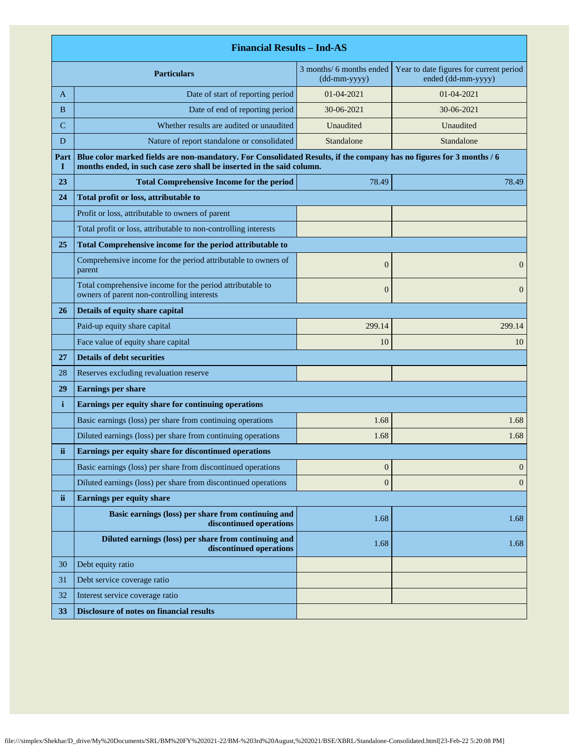|              | <b>Financial Results - Ind-AS</b>                                                                                                                                                             |                                          |                                                               |  |
|--------------|-----------------------------------------------------------------------------------------------------------------------------------------------------------------------------------------------|------------------------------------------|---------------------------------------------------------------|--|
|              | <b>Particulars</b>                                                                                                                                                                            | 3 months/ 6 months ended<br>(dd-mm-yyyy) | Year to date figures for current period<br>ended (dd-mm-yyyy) |  |
| A            | Date of start of reporting period                                                                                                                                                             | 01-04-2021                               | 01-04-2021                                                    |  |
| B            | Date of end of reporting period                                                                                                                                                               | 30-06-2021                               | 30-06-2021                                                    |  |
| C            | Whether results are audited or unaudited                                                                                                                                                      | Unaudited                                | Unaudited                                                     |  |
| D            | Nature of report standalone or consolidated                                                                                                                                                   | Standalone                               | Standalone                                                    |  |
| Part<br>1    | Blue color marked fields are non-mandatory. For Consolidated Results, if the company has no figures for 3 months / 6<br>months ended, in such case zero shall be inserted in the said column. |                                          |                                                               |  |
| 23           | <b>Total Comprehensive Income for the period</b>                                                                                                                                              | 78.49                                    | 78.49                                                         |  |
| 24           | Total profit or loss, attributable to                                                                                                                                                         |                                          |                                                               |  |
|              | Profit or loss, attributable to owners of parent                                                                                                                                              |                                          |                                                               |  |
|              | Total profit or loss, attributable to non-controlling interests                                                                                                                               |                                          |                                                               |  |
| 25           | Total Comprehensive income for the period attributable to                                                                                                                                     |                                          |                                                               |  |
|              | Comprehensive income for the period attributable to owners of<br>parent                                                                                                                       | $\overline{0}$                           | $\mathbf{0}$                                                  |  |
|              | Total comprehensive income for the period attributable to<br>owners of parent non-controlling interests                                                                                       | $\boldsymbol{0}$                         | $\overline{0}$                                                |  |
| 26           | Details of equity share capital                                                                                                                                                               |                                          |                                                               |  |
|              | Paid-up equity share capital                                                                                                                                                                  | 299.14                                   | 299.14                                                        |  |
|              | Face value of equity share capital                                                                                                                                                            | 10                                       | 10                                                            |  |
| 27           | <b>Details of debt securities</b>                                                                                                                                                             |                                          |                                                               |  |
| 28           | Reserves excluding revaluation reserve                                                                                                                                                        |                                          |                                                               |  |
| 29           | <b>Earnings per share</b>                                                                                                                                                                     |                                          |                                                               |  |
| $\mathbf{i}$ | Earnings per equity share for continuing operations                                                                                                                                           |                                          |                                                               |  |
|              | Basic earnings (loss) per share from continuing operations                                                                                                                                    | 1.68                                     | 1.68                                                          |  |
|              | Diluted earnings (loss) per share from continuing operations                                                                                                                                  | 1.68                                     | 1.68                                                          |  |
| ii           | Earnings per equity share for discontinued operations                                                                                                                                         |                                          |                                                               |  |
|              | Basic earnings (loss) per share from discontinued operations                                                                                                                                  | $\boldsymbol{0}$                         | $\mathbf{0}$                                                  |  |
|              | Diluted earnings (loss) per share from discontinued operations                                                                                                                                | $\boldsymbol{0}$                         | $\mathbf{0}$                                                  |  |
| ii.          | <b>Earnings per equity share</b>                                                                                                                                                              |                                          |                                                               |  |
|              | Basic earnings (loss) per share from continuing and<br>discontinued operations                                                                                                                | 1.68                                     | 1.68                                                          |  |
|              | Diluted earnings (loss) per share from continuing and<br>discontinued operations                                                                                                              | 1.68                                     | 1.68                                                          |  |
| 30           | Debt equity ratio                                                                                                                                                                             |                                          |                                                               |  |
| 31           | Debt service coverage ratio                                                                                                                                                                   |                                          |                                                               |  |
| 32           | Interest service coverage ratio                                                                                                                                                               |                                          |                                                               |  |
| 33           | <b>Disclosure of notes on financial results</b>                                                                                                                                               |                                          |                                                               |  |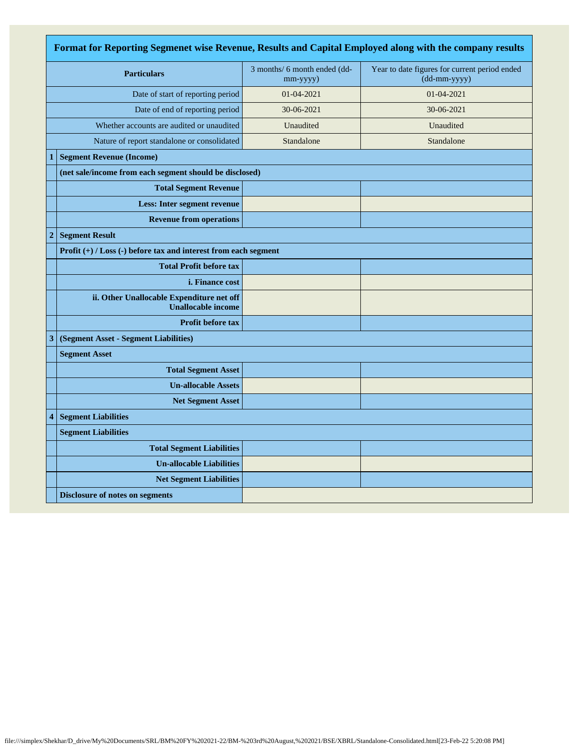| Format for Reporting Segmenet wise Revenue, Results and Capital Employed along with the company results |                                                                        |                                          |                                                               |  |
|---------------------------------------------------------------------------------------------------------|------------------------------------------------------------------------|------------------------------------------|---------------------------------------------------------------|--|
| <b>Particulars</b>                                                                                      |                                                                        | 3 months/ 6 month ended (dd-<br>mm-yyyy) | Year to date figures for current period ended<br>(dd-mm-yyyy) |  |
|                                                                                                         | Date of start of reporting period                                      | 01-04-2021                               | 01-04-2021                                                    |  |
|                                                                                                         | Date of end of reporting period                                        | 30-06-2021                               | 30-06-2021                                                    |  |
|                                                                                                         | Whether accounts are audited or unaudited                              | Unaudited                                | Unaudited                                                     |  |
|                                                                                                         | Nature of report standalone or consolidated                            | Standalone                               | Standalone                                                    |  |
| 1                                                                                                       | <b>Segment Revenue (Income)</b>                                        |                                          |                                                               |  |
|                                                                                                         | (net sale/income from each segment should be disclosed)                |                                          |                                                               |  |
|                                                                                                         | <b>Total Segment Revenue</b>                                           |                                          |                                                               |  |
|                                                                                                         | <b>Less: Inter segment revenue</b>                                     |                                          |                                                               |  |
|                                                                                                         | <b>Revenue from operations</b>                                         |                                          |                                                               |  |
| $\overline{2}$                                                                                          | <b>Segment Result</b>                                                  |                                          |                                                               |  |
|                                                                                                         | Profit $(+)$ / Loss $(-)$ before tax and interest from each segment    |                                          |                                                               |  |
|                                                                                                         | <b>Total Profit before tax</b>                                         |                                          |                                                               |  |
|                                                                                                         | <i>i.</i> Finance cost                                                 |                                          |                                                               |  |
|                                                                                                         | ii. Other Unallocable Expenditure net off<br><b>Unallocable income</b> |                                          |                                                               |  |
|                                                                                                         | Profit before tax                                                      |                                          |                                                               |  |
| 3                                                                                                       | (Segment Asset - Segment Liabilities)                                  |                                          |                                                               |  |
|                                                                                                         | <b>Segment Asset</b>                                                   |                                          |                                                               |  |
|                                                                                                         | <b>Total Segment Asset</b>                                             |                                          |                                                               |  |
|                                                                                                         | <b>Un-allocable Assets</b>                                             |                                          |                                                               |  |
|                                                                                                         | <b>Net Segment Asset</b>                                               |                                          |                                                               |  |
| 4                                                                                                       | <b>Segment Liabilities</b>                                             |                                          |                                                               |  |
|                                                                                                         | <b>Segment Liabilities</b>                                             |                                          |                                                               |  |
|                                                                                                         | <b>Total Segment Liabilities</b>                                       |                                          |                                                               |  |
|                                                                                                         | <b>Un-allocable Liabilities</b>                                        |                                          |                                                               |  |
|                                                                                                         | <b>Net Segment Liabilities</b>                                         |                                          |                                                               |  |
|                                                                                                         | <b>Disclosure of notes on segments</b>                                 |                                          |                                                               |  |